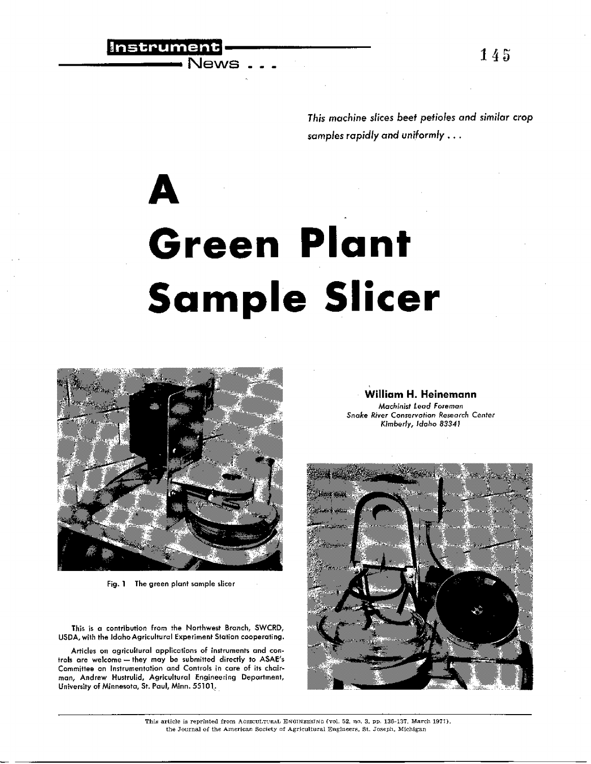145

*This machine slices beef petioles and similar crop* samples rapidly and *uniformly .. .*

## **A Green Plant Sample Slicer**



|Instrument|<br>|----------- News

Fig. 1 The green plant sample slicer

This is a contribution from the Northwest Branch, SWCRD, USDA, with the Idaho Agricultural Experiment Station cooperating.

Articles on agricultural applications of instruments and controls are welcome - they may be submitted directly to ASAE's Committee an Instrumentation and Controls in care of its chairman, Andrew Hustrulid, Agricultural Engineering Department, University of Minnesota, St. Paul, Minn. 55101.

**William H. Heinemann** Machinist Lead Foreman Snake River Conservation Research Center Kimberly, Idaho 83341



This article is reprinted from ACRICULTURAL ENGINEERING (vol. 52, no. 3, pp. 136-137, March 1971), the Journal of the American Society ni Agricultural Engineers, St. Joseph, Michigan